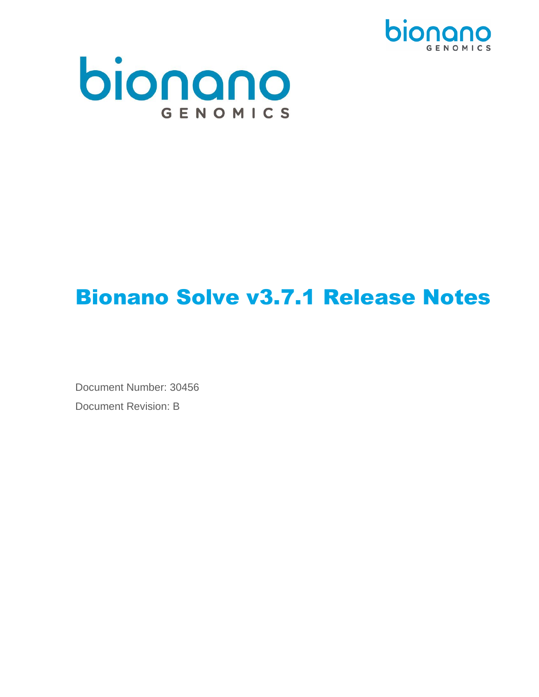



# Bionano Solve v3.7.1 Release Notes

Document Number: 30456 Document Revision: B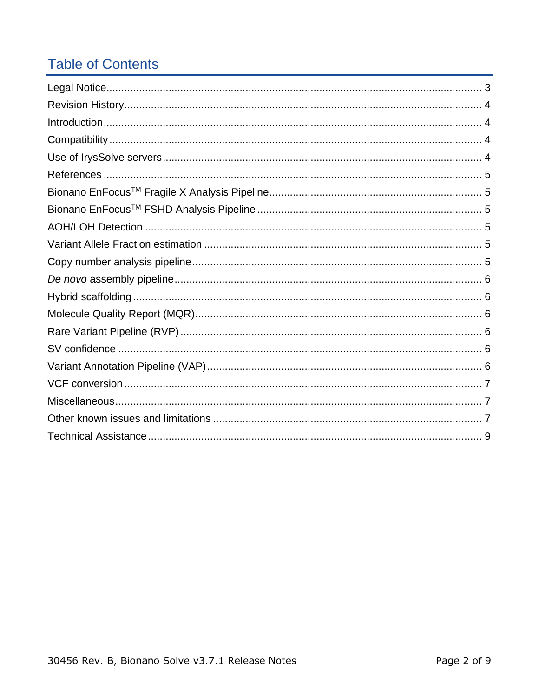# **Table of Contents**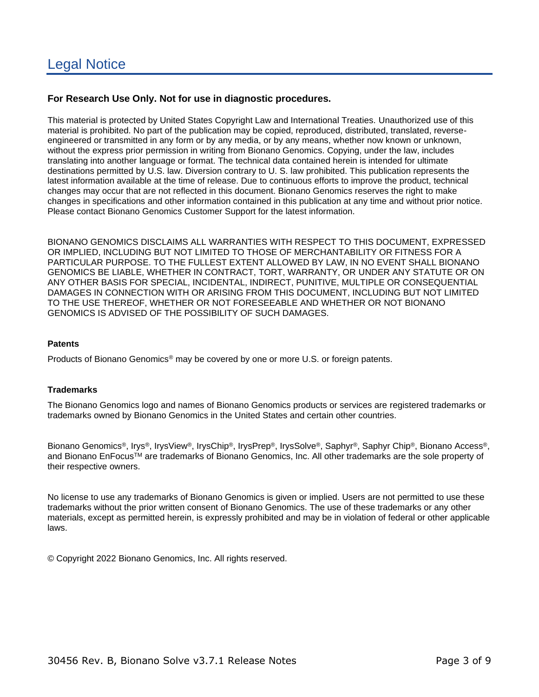#### <span id="page-2-0"></span>**For Research Use Only. Not for use in diagnostic procedures.**

This material is protected by United States Copyright Law and International Treaties. Unauthorized use of this material is prohibited. No part of the publication may be copied, reproduced, distributed, translated, reverseengineered or transmitted in any form or by any media, or by any means, whether now known or unknown, without the express prior permission in writing from Bionano Genomics. Copying, under the law, includes translating into another language or format. The technical data contained herein is intended for ultimate destinations permitted by U.S. law. Diversion contrary to U. S. law prohibited. This publication represents the latest information available at the time of release. Due to continuous efforts to improve the product, technical changes may occur that are not reflected in this document. Bionano Genomics reserves the right to make changes in specifications and other information contained in this publication at any time and without prior notice. Please contact Bionano Genomics Customer Support for the latest information.

BIONANO GENOMICS DISCLAIMS ALL WARRANTIES WITH RESPECT TO THIS DOCUMENT, EXPRESSED OR IMPLIED, INCLUDING BUT NOT LIMITED TO THOSE OF MERCHANTABILITY OR FITNESS FOR A PARTICULAR PURPOSE. TO THE FULLEST EXTENT ALLOWED BY LAW, IN NO EVENT SHALL BIONANO GENOMICS BE LIABLE, WHETHER IN CONTRACT, TORT, WARRANTY, OR UNDER ANY STATUTE OR ON ANY OTHER BASIS FOR SPECIAL, INCIDENTAL, INDIRECT, PUNITIVE, MULTIPLE OR CONSEQUENTIAL DAMAGES IN CONNECTION WITH OR ARISING FROM THIS DOCUMENT, INCLUDING BUT NOT LIMITED TO THE USE THEREOF, WHETHER OR NOT FORESEEABLE AND WHETHER OR NOT BIONANO GENOMICS IS ADVISED OF THE POSSIBILITY OF SUCH DAMAGES.

#### **Patents**

Products of Bionano Genomics® may be covered by one or more U.S. or foreign patents.

#### **Trademarks**

The Bionano Genomics logo and names of Bionano Genomics products or services are registered trademarks or trademarks owned by Bionano Genomics in the United States and certain other countries.

Bionano Genomics®, Irys®, IrysView®, IrysChip®, IrysPrep®, IrysSolve®, Saphyr®, Saphyr Chip®, Bionano Access®, and Bionano EnFocus™ are trademarks of Bionano Genomics, Inc. All other trademarks are the sole property of their respective owners.

No license to use any trademarks of Bionano Genomics is given or implied. Users are not permitted to use these trademarks without the prior written consent of Bionano Genomics. The use of these trademarks or any other materials, except as permitted herein, is expressly prohibited and may be in violation of federal or other applicable laws.

© Copyright 2022 Bionano Genomics, Inc. All rights reserved.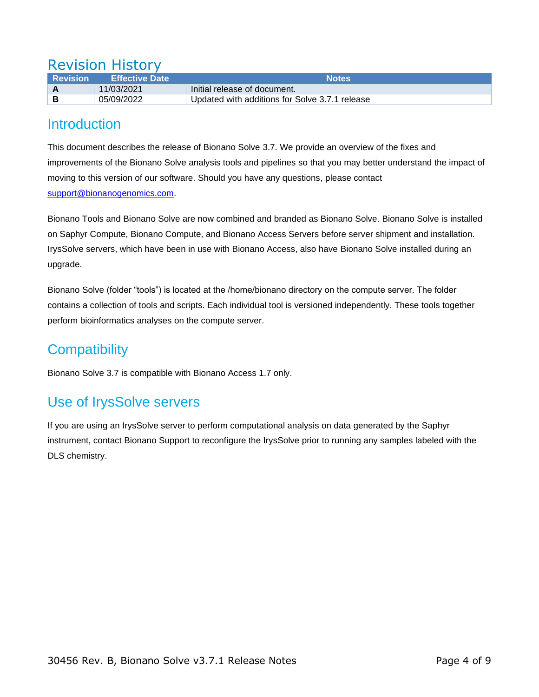# <span id="page-3-0"></span>Revision History

| <b>Revision</b> | <b>Effective Date</b> | <b>Notes</b>                                   |
|-----------------|-----------------------|------------------------------------------------|
|                 | 11/03/2021            | Initial release of document.                   |
|                 | 05/09/2022            | Updated with additions for Solve 3.7.1 release |

#### <span id="page-3-1"></span>**Introduction**

This document describes the release of Bionano Solve 3.7. We provide an overview of the fixes and improvements of the Bionano Solve analysis tools and pipelines so that you may better understand the impact of moving to this version of our software. Should you have any questions, please contact [support@bionanogenomics.com.](mailto:support@bionanogenomics.com)

Bionano Tools and Bionano Solve are now combined and branded as Bionano Solve. Bionano Solve is installed on Saphyr Compute, Bionano Compute, and Bionano Access Servers before server shipment and installation. IrysSolve servers, which have been in use with Bionano Access, also have Bionano Solve installed during an upgrade.

Bionano Solve (folder "tools") is located at the /home/bionano directory on the compute server. The folder contains a collection of tools and scripts. Each individual tool is versioned independently. These tools together perform bioinformatics analyses on the compute server.

# <span id="page-3-2"></span>**Compatibility**

Bionano Solve 3.7 is compatible with Bionano Access 1.7 only.

# <span id="page-3-3"></span>Use of IrysSolve servers

If you are using an IrysSolve server to perform computational analysis on data generated by the Saphyr instrument, contact Bionano Support to reconfigure the IrysSolve prior to running any samples labeled with the DLS chemistry.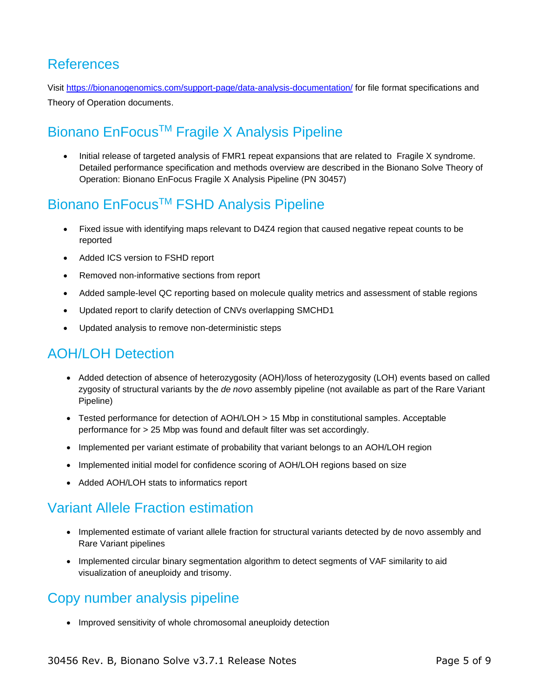#### <span id="page-4-0"></span>References

Visit<https://bionanogenomics.com/support-page/data-analysis-documentation/> for file format specifications and Theory of Operation documents.

# <span id="page-4-1"></span>Bionano EnFocus<sup>™</sup> Fragile X Analysis Pipeline

• Initial release of targeted analysis of FMR1 repeat expansions that are related to Fragile X syndrome. Detailed performance specification and methods overview are described in the Bionano Solve Theory of Operation: Bionano EnFocus Fragile X Analysis Pipeline (PN 30457)

# <span id="page-4-2"></span>Bionano EnFocus<sup>™</sup> FSHD Analysis Pipeline

- Fixed issue with identifying maps relevant to D4Z4 region that caused negative repeat counts to be reported
- Added ICS version to FSHD report
- Removed non-informative sections from report
- Added sample-level QC reporting based on molecule quality metrics and assessment of stable regions
- Updated report to clarify detection of CNVs overlapping SMCHD1
- Updated analysis to remove non-deterministic steps

# <span id="page-4-3"></span>AOH/LOH Detection

- Added detection of absence of heterozygosity (AOH)/loss of heterozygosity (LOH) events based on called zygosity of structural variants by the *de novo* assembly pipeline (not available as part of the Rare Variant Pipeline)
- Tested performance for detection of AOH/LOH > 15 Mbp in constitutional samples. Acceptable performance for > 25 Mbp was found and default filter was set accordingly.
- Implemented per variant estimate of probability that variant belongs to an AOH/LOH region
- Implemented initial model for confidence scoring of AOH/LOH regions based on size
- Added AOH/LOH stats to informatics report

#### <span id="page-4-4"></span>Variant Allele Fraction estimation

- Implemented estimate of variant allele fraction for structural variants detected by de novo assembly and Rare Variant pipelines
- Implemented circular binary segmentation algorithm to detect segments of VAF similarity to aid visualization of aneuploidy and trisomy.

#### <span id="page-4-5"></span>Copy number analysis pipeline

• Improved sensitivity of whole chromosomal aneuploidy detection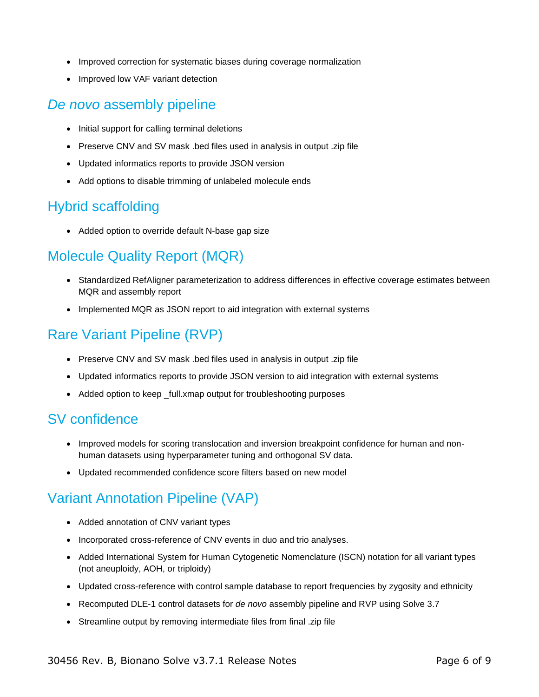- Improved correction for systematic biases during coverage normalization
- Improved low VAF variant detection

#### <span id="page-5-0"></span>*De novo* assembly pipeline

- Initial support for calling terminal deletions
- Preserve CNV and SV mask .bed files used in analysis in output .zip file
- Updated informatics reports to provide JSON version
- Add options to disable trimming of unlabeled molecule ends

### <span id="page-5-1"></span>Hybrid scaffolding

• Added option to override default N-base gap size

# <span id="page-5-2"></span>Molecule Quality Report (MQR)

- Standardized RefAligner parameterization to address differences in effective coverage estimates between MQR and assembly report
- Implemented MQR as JSON report to aid integration with external systems

### <span id="page-5-3"></span>Rare Variant Pipeline (RVP)

- Preserve CNV and SV mask .bed files used in analysis in output .zip file
- Updated informatics reports to provide JSON version to aid integration with external systems
- Added option to keep \_full.xmap output for troubleshooting purposes

#### <span id="page-5-4"></span>SV confidence

- Improved models for scoring translocation and inversion breakpoint confidence for human and nonhuman datasets using hyperparameter tuning and orthogonal SV data.
- Updated recommended confidence score filters based on new model

### <span id="page-5-5"></span>Variant Annotation Pipeline (VAP)

- Added annotation of CNV variant types
- Incorporated cross-reference of CNV events in duo and trio analyses.
- Added International System for Human Cytogenetic Nomenclature (ISCN) notation for all variant types (not aneuploidy, AOH, or triploidy)
- Updated cross-reference with control sample database to report frequencies by zygosity and ethnicity
- Recomputed DLE-1 control datasets for *de novo* assembly pipeline and RVP using Solve 3.7
- Streamline output by removing intermediate files from final .zip file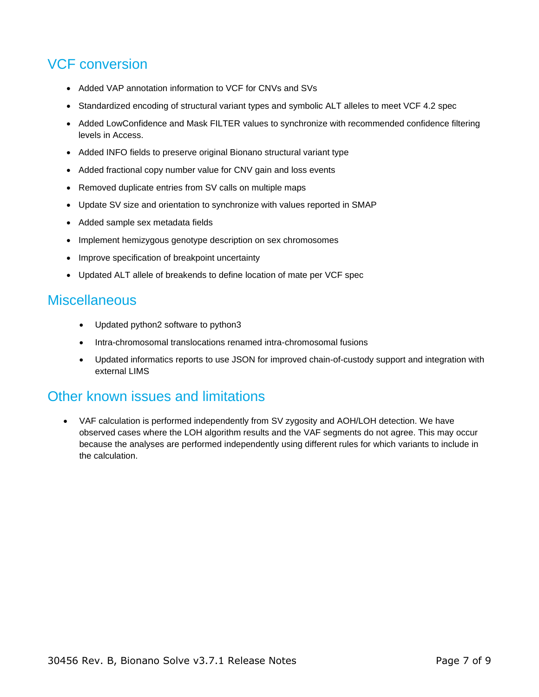# <span id="page-6-0"></span>VCF conversion

- Added VAP annotation information to VCF for CNVs and SVs
- Standardized encoding of structural variant types and symbolic ALT alleles to meet VCF 4.2 spec
- Added LowConfidence and Mask FILTER values to synchronize with recommended confidence filtering levels in Access.
- Added INFO fields to preserve original Bionano structural variant type
- Added fractional copy number value for CNV gain and loss events
- Removed duplicate entries from SV calls on multiple maps
- Update SV size and orientation to synchronize with values reported in SMAP
- Added sample sex metadata fields
- Implement hemizygous genotype description on sex chromosomes
- Improve specification of breakpoint uncertainty
- Updated ALT allele of breakends to define location of mate per VCF spec

#### <span id="page-6-1"></span>**Miscellaneous**

- Updated python2 software to python3
- Intra-chromosomal translocations renamed intra-chromosomal fusions
- Updated informatics reports to use JSON for improved chain-of-custody support and integration with external LIMS

#### <span id="page-6-2"></span>Other known issues and limitations

• VAF calculation is performed independently from SV zygosity and AOH/LOH detection. We have observed cases where the LOH algorithm results and the VAF segments do not agree. This may occur because the analyses are performed independently using different rules for which variants to include in the calculation.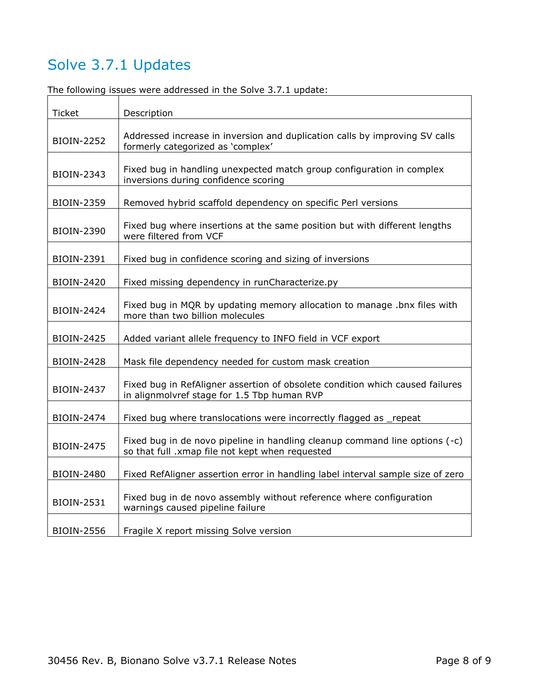# Solve 3.7.1 Updates

| <b>Ticket</b>     | Description                                                                                                                    |
|-------------------|--------------------------------------------------------------------------------------------------------------------------------|
| BIOIN-2252        | Addressed increase in inversion and duplication calls by improving SV calls<br>formerly categorized as 'complex'               |
| BIOIN-2343        | Fixed bug in handling unexpected match group configuration in complex<br>inversions during confidence scoring                  |
| <b>BIOIN-2359</b> | Removed hybrid scaffold dependency on specific Perl versions                                                                   |
| <b>BIOIN-2390</b> | Fixed bug where insertions at the same position but with different lengths<br>were filtered from VCF                           |
| <b>BIOIN-2391</b> | Fixed bug in confidence scoring and sizing of inversions                                                                       |
| <b>BIOIN-2420</b> | Fixed missing dependency in runCharacterize.py                                                                                 |
| BIOIN-2424        | Fixed bug in MQR by updating memory allocation to manage .bnx files with<br>more than two billion molecules                    |
| <b>BIOIN-2425</b> | Added variant allele frequency to INFO field in VCF export                                                                     |
| <b>BIOIN-2428</b> | Mask file dependency needed for custom mask creation                                                                           |
| <b>BIOIN-2437</b> | Fixed bug in RefAligner assertion of obsolete condition which caused failures<br>in alignmolvref stage for 1.5 Tbp human RVP   |
| <b>BIOIN-2474</b> | Fixed bug where translocations were incorrectly flagged as _repeat                                                             |
| <b>BIOIN-2475</b> | Fixed bug in de novo pipeline in handling cleanup command line options (-c)<br>so that full .xmap file not kept when requested |
| <b>BIOIN-2480</b> | Fixed RefAligner assertion error in handling label interval sample size of zero                                                |
| <b>BIOIN-2531</b> | Fixed bug in de novo assembly without reference where configuration<br>warnings caused pipeline failure                        |
| <b>BIOIN-2556</b> | Fragile X report missing Solve version                                                                                         |

The following issues were addressed in the Solve 3.7.1 update:

ī